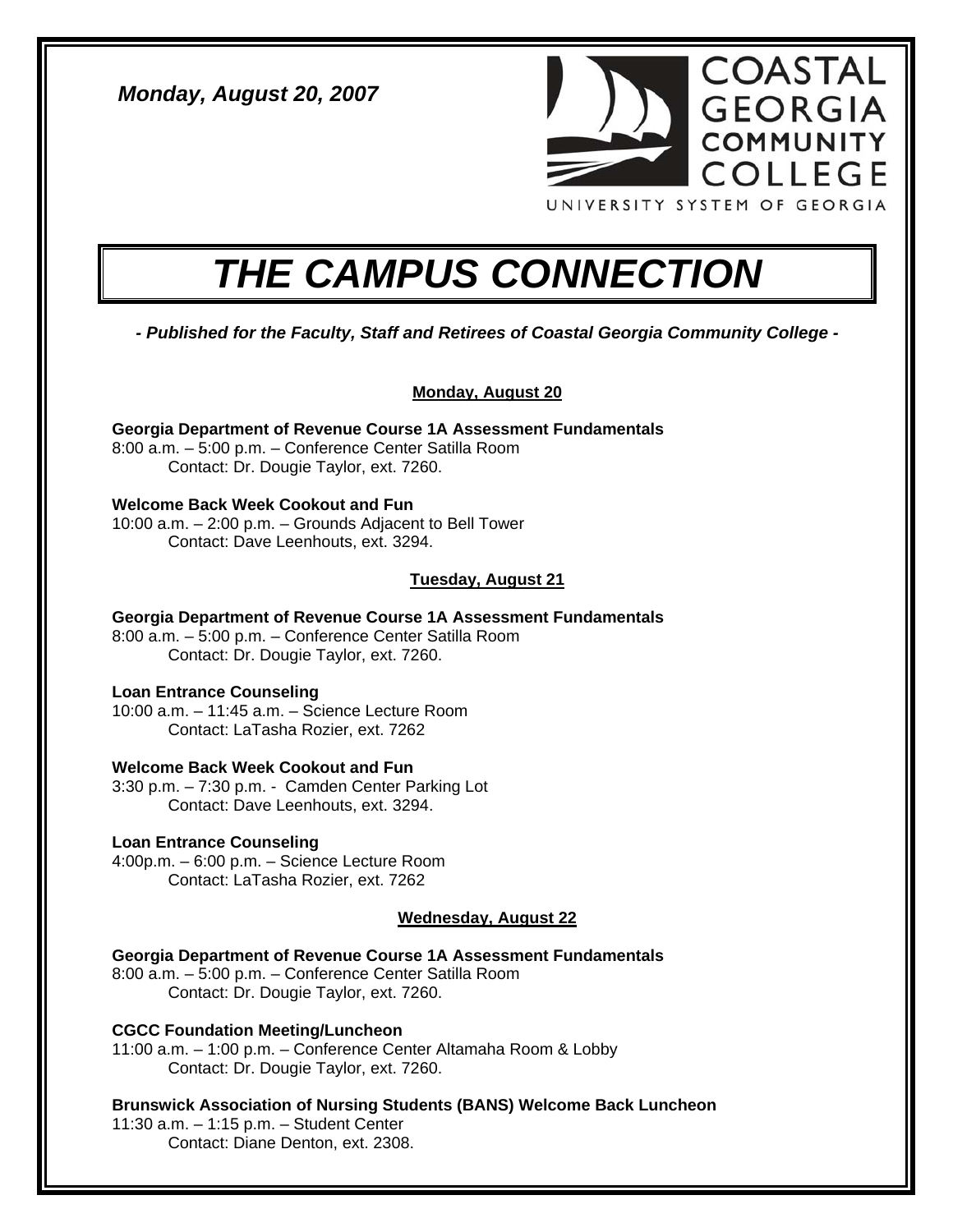*Monday, August 20, 2007* 



# *THE CAMPUS CONNECTION*

*- Published for the Faculty, Staff and Retirees of Coastal Georgia Community College -* 

# **Monday, August 20**

**Georgia Department of Revenue Course 1A Assessment Fundamentals**  8:00 a.m. – 5:00 p.m. – Conference Center Satilla Room Contact: Dr. Dougie Taylor, ext. 7260.

# **Welcome Back Week Cookout and Fun**

10:00 a.m. – 2:00 p.m. – Grounds Adjacent to Bell Tower Contact: Dave Leenhouts, ext. 3294.

# **Tuesday, August 21**

**Georgia Department of Revenue Course 1A Assessment Fundamentals**  8:00 a.m. – 5:00 p.m. – Conference Center Satilla Room Contact: Dr. Dougie Taylor, ext. 7260.

# **Loan Entrance Counseling**

10:00 a.m. – 11:45 a.m. – Science Lecture Room Contact: LaTasha Rozier, ext. 7262

# **Welcome Back Week Cookout and Fun**

3:30 p.m. – 7:30 p.m. - Camden Center Parking Lot Contact: Dave Leenhouts, ext. 3294.

# **Loan Entrance Counseling**

4:00p.m. – 6:00 p.m. – Science Lecture Room Contact: LaTasha Rozier, ext. 7262

# **Wednesday, August 22**

**Georgia Department of Revenue Course 1A Assessment Fundamentals**  8:00 a.m. – 5:00 p.m. – Conference Center Satilla Room Contact: Dr. Dougie Taylor, ext. 7260.

**CGCC Foundation Meeting/Luncheon**  11:00 a.m. – 1:00 p.m. – Conference Center Altamaha Room & Lobby Contact: Dr. Dougie Taylor, ext. 7260.

**Brunswick Association of Nursing Students (BANS) Welcome Back Luncheon**  11:30 a.m. – 1:15 p.m. – Student Center Contact: Diane Denton, ext. 2308.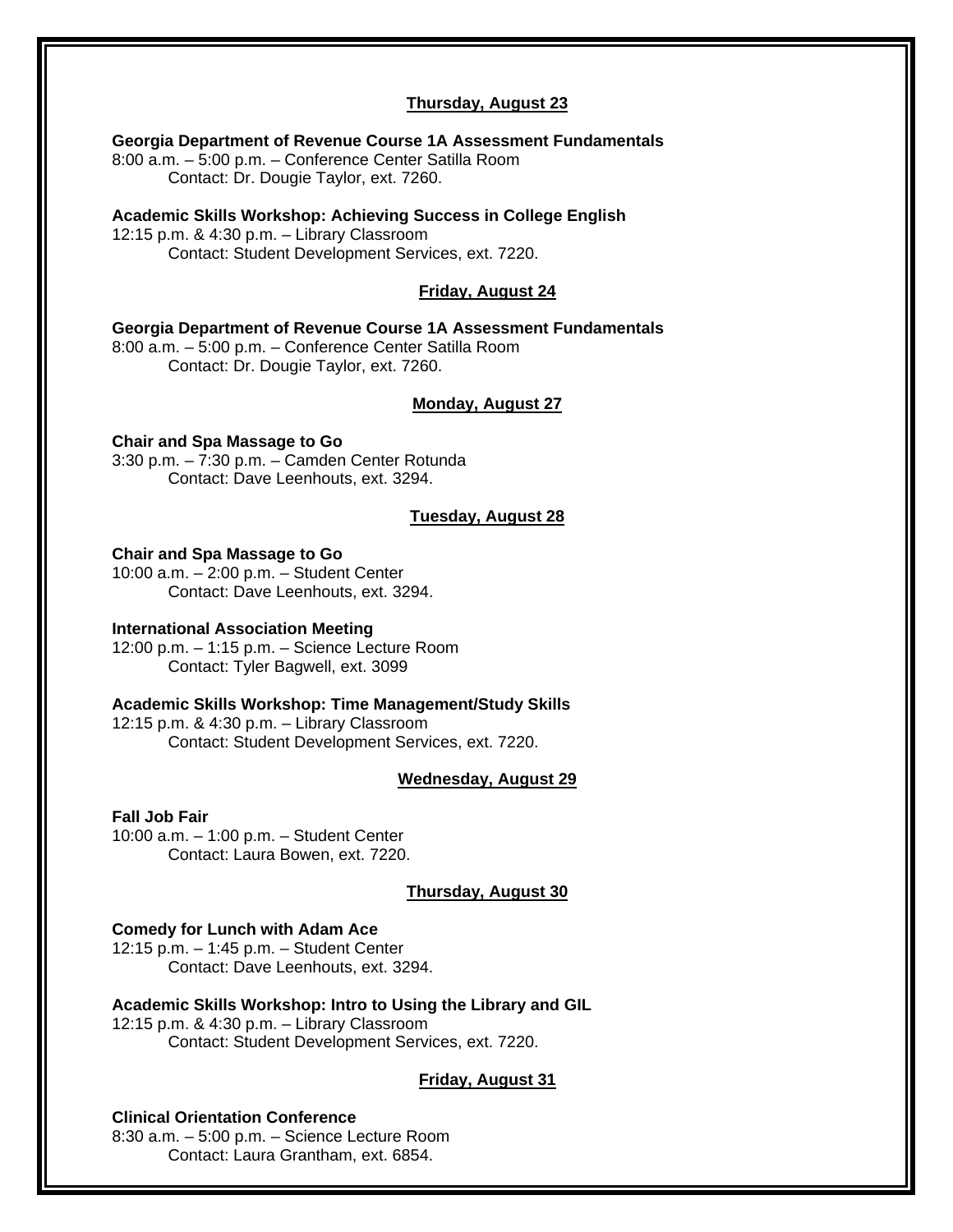# **Thursday, August 23**

**Georgia Department of Revenue Course 1A Assessment Fundamentals** 

8:00 a.m. – 5:00 p.m. – Conference Center Satilla Room Contact: Dr. Dougie Taylor, ext. 7260.

**Academic Skills Workshop: Achieving Success in College English**  12:15 p.m. & 4:30 p.m. – Library Classroom Contact: Student Development Services, ext. 7220.

# **Friday, August 24**

**Georgia Department of Revenue Course 1A Assessment Fundamentals** 

8:00 a.m. – 5:00 p.m. – Conference Center Satilla Room Contact: Dr. Dougie Taylor, ext. 7260.

## **Monday, August 27**

**Chair and Spa Massage to Go**  3:30 p.m. – 7:30 p.m. – Camden Center Rotunda Contact: Dave Leenhouts, ext. 3294.

## **Tuesday, August 28**

#### **Chair and Spa Massage to Go**

10:00 a.m. – 2:00 p.m. – Student Center Contact: Dave Leenhouts, ext. 3294.

### **International Association Meeting**

12:00 p.m. – 1:15 p.m. – Science Lecture Room Contact: Tyler Bagwell, ext. 3099

#### **Academic Skills Workshop: Time Management/Study Skills**

12:15 p.m. & 4:30 p.m. – Library Classroom Contact: Student Development Services, ext. 7220.

#### **Wednesday, August 29**

#### **Fall Job Fair**

10:00 a.m. – 1:00 p.m. – Student Center Contact: Laura Bowen, ext. 7220.

#### **Thursday, August 30**

#### **Comedy for Lunch with Adam Ace**

12:15 p.m. – 1:45 p.m. – Student Center Contact: Dave Leenhouts, ext. 3294.

**Academic Skills Workshop: Intro to Using the Library and GIL**  12:15 p.m. & 4:30 p.m. – Library Classroom Contact: Student Development Services, ext. 7220.

#### **Friday, August 31**

## **Clinical Orientation Conference**

8:30 a.m. – 5:00 p.m. – Science Lecture Room Contact: Laura Grantham, ext. 6854.